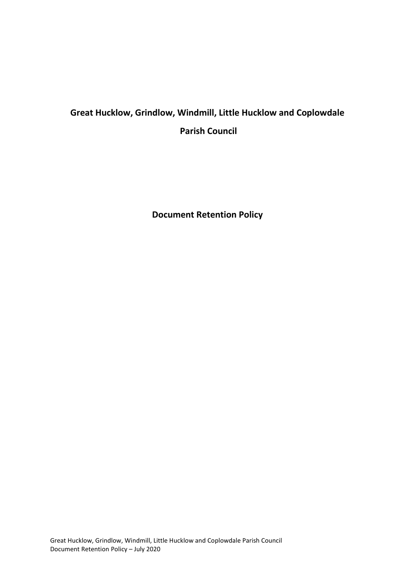# **Great Hucklow, Grindlow, Windmill, Little Hucklow and Coplowdale Parish Council**

**Document Retention Policy**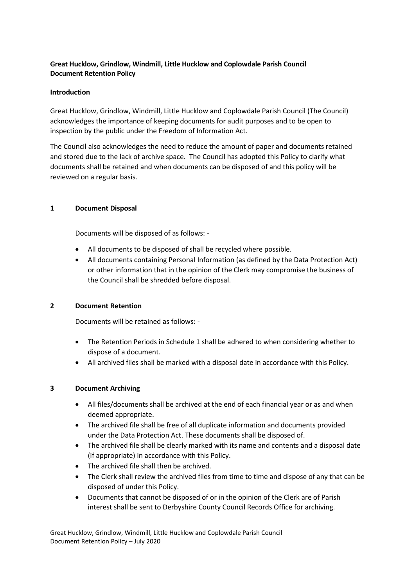# **Great Hucklow, Grindlow, Windmill, Little Hucklow and Coplowdale Parish Council Document Retention Policy**

# **Introduction**

Great Hucklow, Grindlow, Windmill, Little Hucklow and Coplowdale Parish Council (The Council) acknowledges the importance of keeping documents for audit purposes and to be open to inspection by the public under the Freedom of Information Act.

The Council also acknowledges the need to reduce the amount of paper and documents retained and stored due to the lack of archive space. The Council has adopted this Policy to clarify what documents shall be retained and when documents can be disposed of and this policy will be reviewed on a regular basis.

# **1 Document Disposal**

Documents will be disposed of as follows: -

- All documents to be disposed of shall be recycled where possible.
- All documents containing Personal Information (as defined by the Data Protection Act) or other information that in the opinion of the Clerk may compromise the business of the Council shall be shredded before disposal.

### **2 Document Retention**

Documents will be retained as follows: -

- The Retention Periods in Schedule 1 shall be adhered to when considering whether to dispose of a document.
- All archived files shall be marked with a disposal date in accordance with this Policy.

### **3 Document Archiving**

- All files/documents shall be archived at the end of each financial year or as and when deemed appropriate.
- The archived file shall be free of all duplicate information and documents provided under the Data Protection Act. These documents shall be disposed of.
- The archived file shall be clearly marked with its name and contents and a disposal date (if appropriate) in accordance with this Policy.
- The archived file shall then be archived.
- The Clerk shall review the archived files from time to time and dispose of any that can be disposed of under this Policy.
- Documents that cannot be disposed of or in the opinion of the Clerk are of Parish interest shall be sent to Derbyshire County Council Records Office for archiving.

Great Hucklow, Grindlow, Windmill, Little Hucklow and Coplowdale Parish Council Document Retention Policy – July 2020